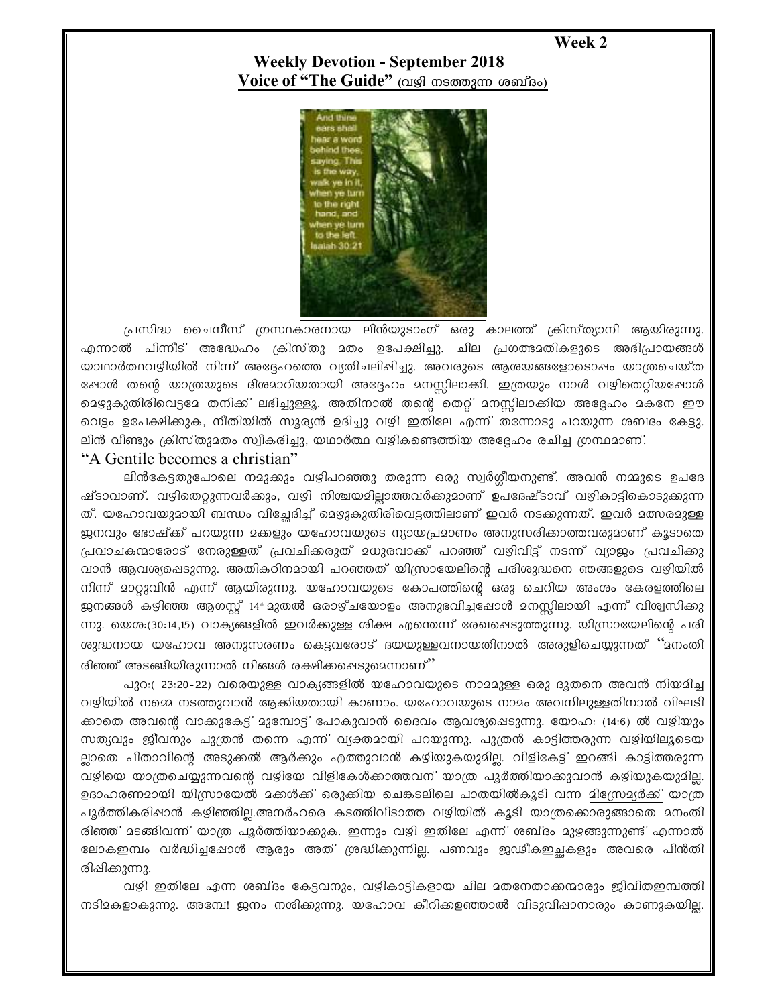Week 2

**Weekly Devotion - September 2018** Voice of "The Guide" (വഴി നടത്തുന്ന ശബ്ദം)



പ്രസിദ്ധ ചൈനീസ് ഗ്രസ്ഥകാരനായ ലിൻയുടാംഗ് ഒരു കാലത്ത് ക്രിസ്ത്യാനി ആയിരുന്നു. എന്നാൽ പിന്നീട് അദ്ധേഹം ക്രിസ്തു മതം ഉപേക്ഷിച്ചു. ചില പ്രഗത്ഭമതികളുടെ അഭിപ്രായങ്ങൾ യാഥാർത്ഥവഴിയിൽ നിന്ന് അദ്ദേഹത്തെ വ്യതിചലിപ്പിച്ചു. അവരുടെ ആശയങ്ങളോടൊപ്പം യാത്രചെയ്ത ഷോൾ തന്റെ യാത്രയുടെ ദിശമാറിയതായി അദ്ദേഹം മനസ്സിലാക്കി. ഇത്രയും നാൾ വഴിതെറ്റിയപ്പോൾ മെഴുകുതിരിവെട്ടമേ തനിക്ക് ലഭിച്ചുള്ളൂ. അതിനാൽ തന്റെ തെറ്റ് മനസ്സിലാക്കിയ അദ്ദേഹം മകനേ ഈ വെട്ടം ഉപേക്ഷിക്കുക, നീതിയിൽ സൂര്യൻ ഉദിച്ചു വഴി ഇതിലേ എന്ന് തന്നോടു പറയുന്ന ശബദം കേട്ടു. ലിൻ വീണ്ടും ക്രിസ്തുമതം സ്വീകരിച്ചു, യഥാർത്ഥ വഴികണ്ടെത്തിയ അദ്ദേഹം രചിച്ച ഗ്രന്ഥമാണ്.

## "A Gentile becomes a christian"

ലിൻകേട്ടതുപോലെ നമുക്കും വഴിപറഞ്ഞു തരുന്ന ഒരു സ്വർഗ്ഗീയനുണ്ട്. അവൻ നമ്മുടെ ഉപദേ ഷ്ടാവാണ്. വഴിതെറ്റുന്നവർക്കും, വഴി നിശ്ചയമില്ലാത്തവർക്കുമാണ് ഉപദേഷ്ടാവ് വഴികാട്ടികൊടുക്കുന്ന ത്. യഹോവയുദായി ബന്ധം വിച്ചേദിച്ച് ദെഴുകുതിരിവെട്ടത്തിലാണ് ഇവർ നടക്കുന്നത്. ഇവർ ദത്സരദുള്ള ജ്മനവും ഭോഷ്ക്ക് പറയുന്ന മക്കളും യഹോവയുടെ ന്യായപ്രമാണം അനുസരിക്കാത്തവരുമാണ് കൂടാതെ പ്രവാചകന്മാരോട് നേരുള്ളത് പ്രവചിക്കരുത് മധുരവാക്ക് പറഞ്ഞ് വഴിവിട്ട് നടന്ന് വ്യാജം പ്രവചിക്കു വാൻ ആവശ്യപ്പെടുന്നു. അതികഠിനമായി പറഞ്ഞത് യിസ്രായേലിന്റെ പരിശുദ്ധനെ ഞങ്ങളുടെ വഴിയിൽ നിന്ന് മാറ്റുവിൻ എന്ന് ആയിരുന്നു. യഹോവയുടെ കോപത്തിന്റെ ഒരു ചെറിയ അംശം കേരളത്തിലെ ജനങ്ങൾ കഴിഞ്ഞ ആഗസ്റ്റ് 14® മുതൽ ഒരാഴ്ചയോളം അനുഭവിച്ചപ്പോൾ മനസ്സിലായി എന്ന് വിശ്വസിക്കു ന്നു. യെശ:(30:14,15) വാക്യങ്ങളിൽ ഇവർക്കുള്ള ശിക്ഷ എന്തെന്ന് രേഖപ്പെടുത്തുന്നു. യിസ്രായേലിന്റെ പരി ശുദ്ധനായ യഹോവ അനുസരണം കെട്ടവരോട് ദയയുള്ളവനായതിനാൽ അരുളിചെയ്യുന്നത് ''മനംതി രിഞ്ഞ് അടങ്ങിയിരുന്നാൽ നിങ്ങൾ രക്ഷിക്കപ്പെടുമെന്നാണ്''

പുറ:( 23:20-22) വരെയുള്ള വാക്യങ്ങളിൽ യഹോവയുടെ നാമമുള്ള ഒരു ദൂതനെ അവൻ നിയമിച്ച വഴിയിൽ നമ്മെ നടത്തുവാൻ ആക്കിയതായി കാണാം. യഹോവയുടെ നാമം അവനിലുള്ളതിനാൽ വിഘടി ക്കാതെ അവന്റെ വാക്കുകേട്ട് മുമ്പോട്ട് പോകുവാൻ ദൈവം ആവശ്യപ്പെടുന്നു. യോഹ: (14:6) ൽ വഴിയും സത്യവും ജീവനും പുത്രൻ തന്നെ എന്ന് വ്യക്തമായി പറയുന്നു. പുത്രൻ കാട്ടിത്തരുന്ന വഴിയിലൂടെയ ല്ലാതെ പിതാവിന്റെ അടുക്കൽ ആർക്കും എത്തുവാൻ കഴിയുകയുമില്ല. വിളികേട്ട് ഇറങ്ങി കാട്ടിത്തരുന്ന വഴിയെ യാത്രചെയ്യുന്നവന്റെ വഴിയേ വിളികേൾക്കാത്തവന് യാത്ര പൂർത്തിയാക്കുവാൻ കഴിയുകയുമില്ല. ഉദാഹരണമായി യിസ്രായേൽ മക്കൾക്ക് ഒരുക്കിയ ചെങ്കടലിലെ പാതയിൽകൂടി വന്ന മിസ്രേദ്യർക്ക് യാത്ര പൂർത്തികരിഷാൻ കഴിഞ്ഞില്ല.അനർഹരെ കടത്തിവിടാത്ത വഴിയിൽ കൂടി യാത്രക്കൊരുങ്ങാതെ മനംതി രിഞ്ഞ് മടങ്ങിവന്ന് യാത്ര പൂർത്തിയാക്കുക. ഇന്നും വഴി ഇതിലേ എന്ന് ശബ്ദം മുഴങ്ങുന്നുണ്ട് എന്നാൽ ലോകഇമ്പം വർദ്ധിച്ചപ്പോൾ ആരും അത് ശ്രദ്ധിക്കുന്നില്ല. പണവും ജഢീകഇച്ചകളും അവരെ പിൻതി രിഷിക്കുന്നു.

വഴി ഇതിലേ എന്ന ശബ്ദം കേട്ടവനും, വഴികാട്ടികളായ ചില മതനേതാക്കന്മാരും ജീവിതഇമ്പത്തി നടിമകളാകുന്നു. അമ്പേ! ജനം നശിക്കുന്നു. യഹോവ കീറിക്കളഞ്ഞാൽ വിടുവിഷാനാരും കാണുകയില്ല.